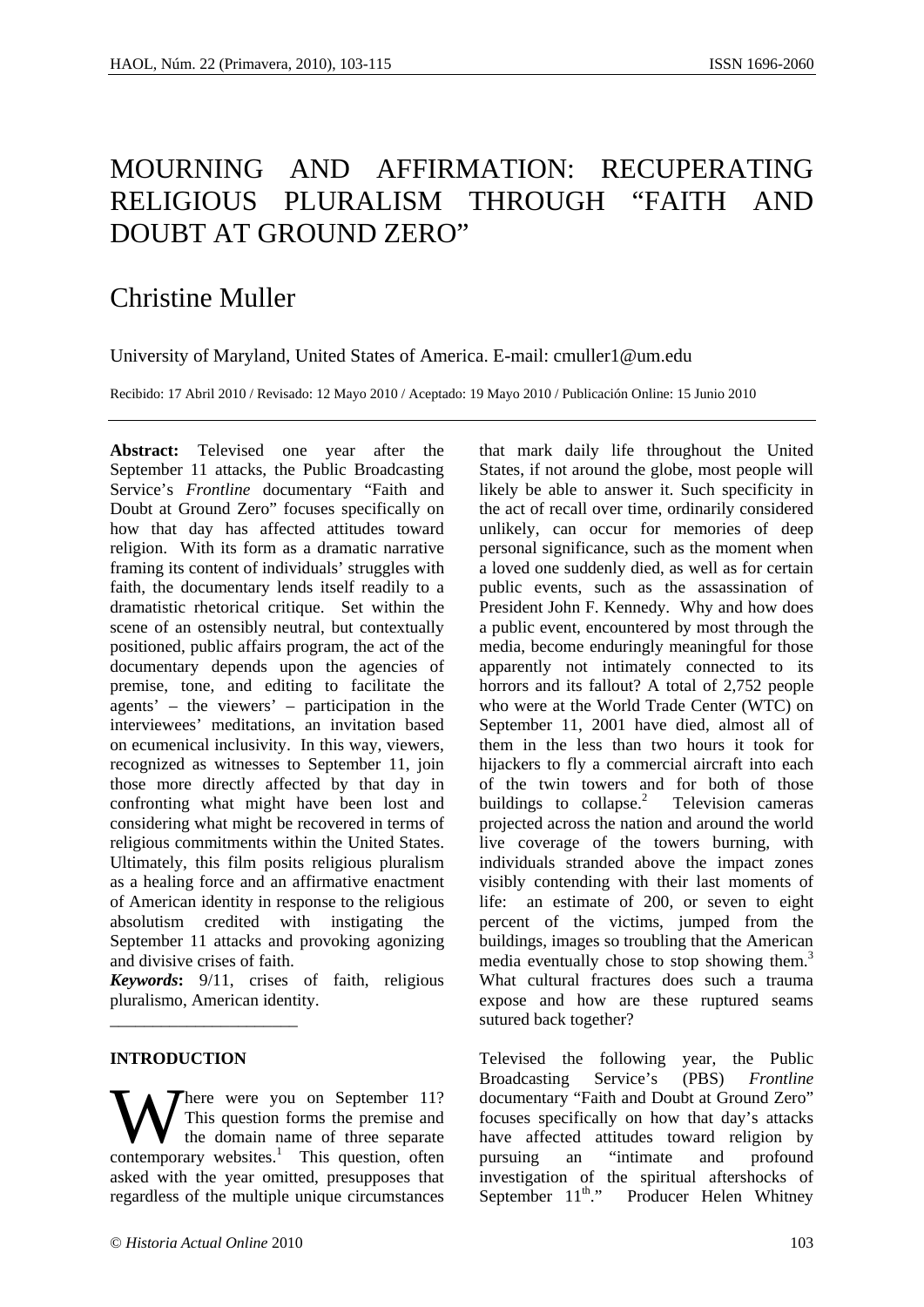# MOURNING AND AFFIRMATION: RECUPERATING RELIGIOUS PLURALISM THROUGH "FAITH AND DOUBT AT GROUND ZERO"

## Christine Muller

University of Maryland, United States of America. E-mail: cmuller1@um.edu

Recibido: 17 Abril 2010 / Revisado: 12 Mayo 2010 / Aceptado: 19 Mayo 2010 / Publicación Online: 15 Junio 2010

**Abstract:** Televised one year after the September 11 attacks, the Public Broadcasting Service's *Frontline* documentary "Faith and Doubt at Ground Zero" focuses specifically on how that day has affected attitudes toward religion. With its form as a dramatic narrative framing its content of individuals' struggles with faith, the documentary lends itself readily to a dramatistic rhetorical critique. Set within the scene of an ostensibly neutral, but contextually positioned, public affairs program, the act of the documentary depends upon the agencies of premise, tone, and editing to facilitate the agents' – the viewers' – participation in the interviewees' meditations, an invitation based on ecumenical inclusivity. In this way, viewers, recognized as witnesses to September 11, join those more directly affected by that day in confronting what might have been lost and considering what might be recovered in terms of religious commitments within the United States. Ultimately, this film posits religious pluralism as a healing force and an affirmative enactment of American identity in response to the religious absolutism credited with instigating the September 11 attacks and provoking agonizing and divisive crises of faith.

*Keywords***:** 9/11, crises of faith, religious pluralismo, American identity.

## **INTRODUCTION**

\_\_\_\_\_\_\_\_\_\_\_\_\_\_\_\_\_\_\_\_\_\_

There were you on September 11? This question forms the premise and the domain name of three separate **W** This question forms the premise and the domain name of three separate contemporary websites.<sup>1</sup> This question, often asked with the year omitted, presupposes that regardless of the multiple unique circumstances

that mark daily life throughout the United States, if not around the globe, most people will likely be able to answer it. Such specificity in the act of recall over time, ordinarily considered unlikely, can occur for memories of deep personal significance, such as the moment when a loved one suddenly died, as well as for certain public events, such as the assassination of President John F. Kennedy. Why and how does a public event, encountered by most through the media, become enduringly meaningful for those apparently not intimately connected to its horrors and its fallout? A total of 2,752 people who were at the World Trade Center (WTC) on September 11, 2001 have died, almost all of them in the less than two hours it took for hijackers to fly a commercial aircraft into each of the twin towers and for both of those buildings to collapse. $2$  Television cameras projected across the nation and around the world live coverage of the towers burning, with individuals stranded above the impact zones visibly contending with their last moments of life: an estimate of 200, or seven to eight percent of the victims, jumped from the buildings, images so troubling that the American media eventually chose to stop showing them. $3$ What cultural fractures does such a trauma expose and how are these ruptured seams sutured back together?

Televised the following year, the Public Broadcasting Service's (PBS) *Frontline* documentary "Faith and Doubt at Ground Zero" focuses specifically on how that day's attacks have affected attitudes toward religion by pursuing an "intimate and profound investigation of the spiritual aftershocks of September  $11^{\text{th}}$ ." Producer Helen Whitney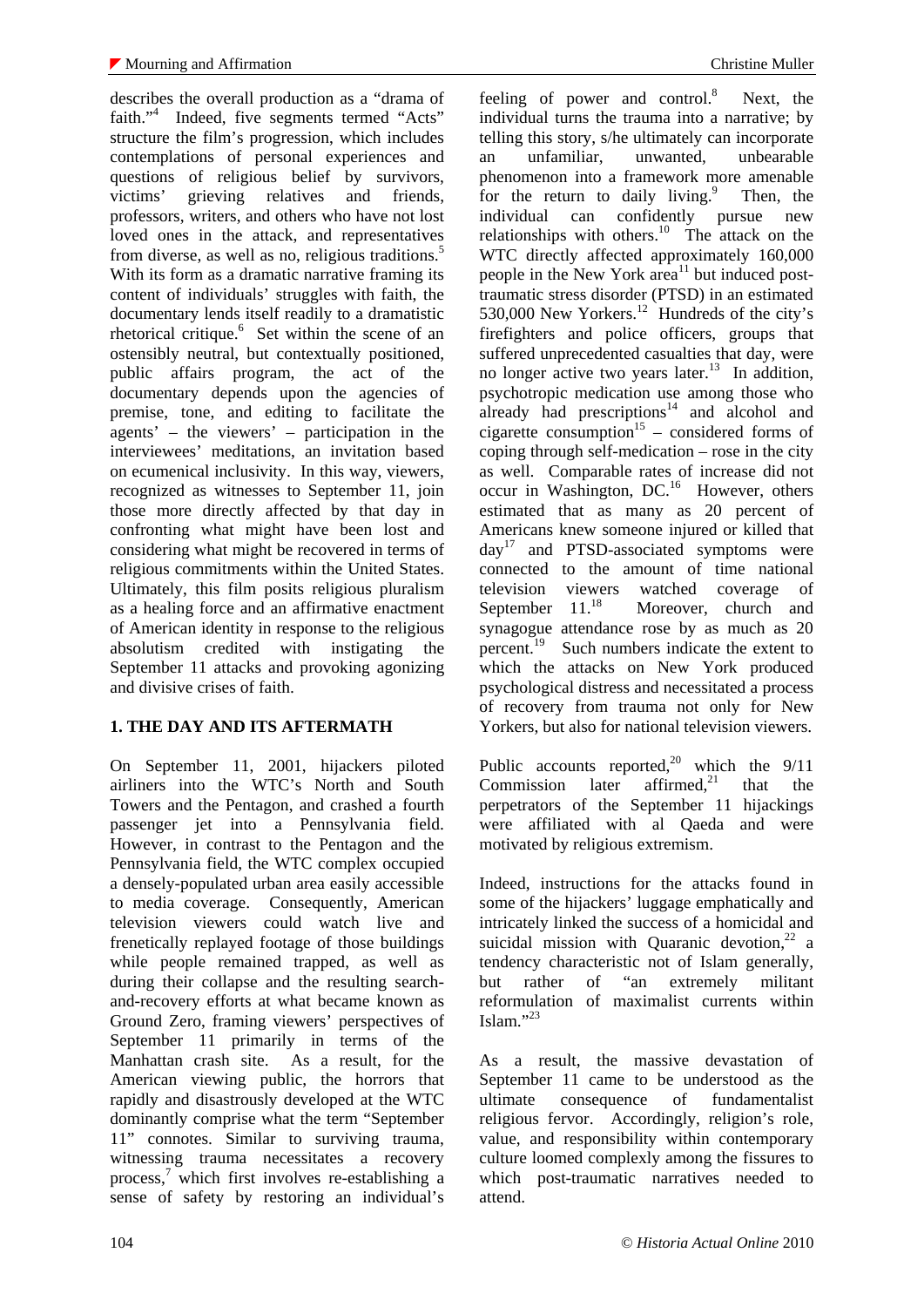describes the overall production as a "drama of faith."<sup>4</sup> Indeed, five segments termed "Acts" structure the film's progression, which includes contemplations of personal experiences and questions of religious belief by survivors, victims' grieving relatives and friends, professors, writers, and others who have not lost loved ones in the attack, and representatives from diverse, as well as no, religious traditions.<sup>5</sup> With its form as a dramatic narrative framing its content of individuals' struggles with faith, the documentary lends itself readily to a dramatistic rhetorical critique.<sup>6</sup> Set within the scene of an ostensibly neutral, but contextually positioned, public affairs program, the act of the documentary depends upon the agencies of premise, tone, and editing to facilitate the agents' – the viewers' – participation in the interviewees' meditations, an invitation based on ecumenical inclusivity. In this way, viewers, recognized as witnesses to September 11, join those more directly affected by that day in confronting what might have been lost and considering what might be recovered in terms of religious commitments within the United States. Ultimately, this film posits religious pluralism as a healing force and an affirmative enactment of American identity in response to the religious absolutism credited with instigating the September 11 attacks and provoking agonizing and divisive crises of faith.

## **1. THE DAY AND ITS AFTERMATH**

On September 11, 2001, hijackers piloted airliners into the WTC's North and South Towers and the Pentagon, and crashed a fourth passenger jet into a Pennsylvania field. However, in contrast to the Pentagon and the Pennsylvania field, the WTC complex occupied a densely-populated urban area easily accessible to media coverage. Consequently, American television viewers could watch live and frenetically replayed footage of those buildings while people remained trapped, as well as during their collapse and the resulting searchand-recovery efforts at what became known as Ground Zero, framing viewers' perspectives of September 11 primarily in terms of the Manhattan crash site. As a result, for the American viewing public, the horrors that rapidly and disastrously developed at the WTC dominantly comprise what the term "September 11" connotes. Similar to surviving trauma, witnessing trauma necessitates a recovery process, $\frac{7}{7}$  which first involves re-establishing a sense of safety by restoring an individual's

feeling of power and control. $8$  Next, the individual turns the trauma into a narrative; by telling this story, s/he ultimately can incorporate an unfamiliar, unwanted, unbearable phenomenon into a framework more amenable for the return to daily living. $9$  Then, the individual can confidently pursue new relationships with others.<sup>10</sup> The attack on the WTC directly affected approximately 160,000 people in the New York  $area<sup>11</sup>$  but induced posttraumatic stress disorder (PTSD) in an estimated 530,000 New Yorkers. $^{12}$  Hundreds of the city's firefighters and police officers, groups that suffered unprecedented casualties that day, were no longer active two years later.<sup>13</sup> In addition, psychotropic medication use among those who already had prescriptions $14$  and alcohol and cigarette consumption<sup>15</sup> – considered forms of coping through self-medication – rose in the city as well. Comparable rates of increase did not occur in Washington, DC.<sup>16</sup> However, others estimated that as many as 20 percent of Americans knew someone injured or killed that  $day<sup>T</sup>$  and PTSD-associated symptoms were connected to the amount of time national television viewers watched coverage of<br>September 11.<sup>18</sup> Moreover, church and Moreover, church and synagogue attendance rose by as much as 20 percent.19 Such numbers indicate the extent to which the attacks on New York produced psychological distress and necessitated a process of recovery from trauma not only for New Yorkers, but also for national television viewers.

Public accounts reported,<sup>20</sup> which the  $9/11$ <br>Commission later affirmed,<sup>21</sup> that the Commission later affirmed.<sup>21</sup> that the perpetrators of the September 11 hijackings were affiliated with al Qaeda and were motivated by religious extremism.

Indeed, instructions for the attacks found in some of the hijackers' luggage emphatically and intricately linked the success of a homicidal and suicidal mission with Quaranic devotion, $2^2$  a tendency characteristic not of Islam generally, but rather of "an extremely militant reformulation of maximalist currents within Islam." $^{23}$ 

As a result, the massive devastation of September 11 came to be understood as the ultimate consequence of fundamentalist religious fervor. Accordingly, religion's role, value, and responsibility within contemporary culture loomed complexly among the fissures to which post-traumatic narratives needed to attend.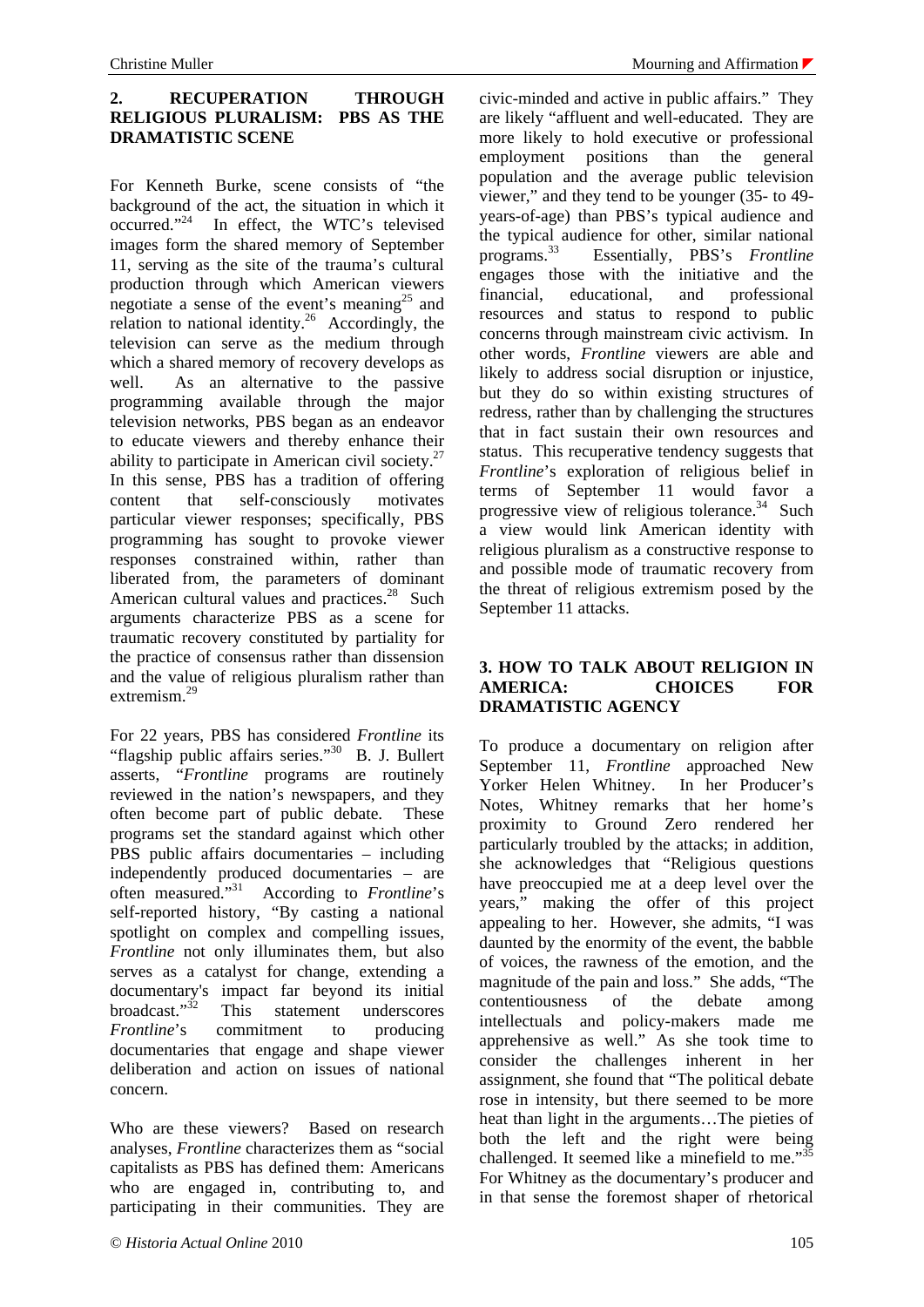## **2. RECUPERATION THROUGH RELIGIOUS PLURALISM: PBS AS THE DRAMATISTIC SCENE**

For Kenneth Burke, scene consists of "the background of the act, the situation in which it occurred."24 In effect, the WTC's televised images form the shared memory of September 11, serving as the site of the trauma's cultural production through which American viewers negotiate a sense of the event's meaning<sup>25</sup> and relation to national identity.<sup>26</sup> Accordingly, the television can serve as the medium through which a shared memory of recovery develops as well. As an alternative to the passive programming available through the major television networks, PBS began as an endeavor to educate viewers and thereby enhance their ability to participate in American civil society.<sup>27</sup> In this sense, PBS has a tradition of offering content that self-consciously motivates particular viewer responses; specifically, PBS programming has sought to provoke viewer responses constrained within, rather than liberated from, the parameters of dominant American cultural values and practices.<sup>28</sup> Such arguments characterize PBS as a scene for traumatic recovery constituted by partiality for the practice of consensus rather than dissension and the value of religious pluralism rather than extremism.<sup>29</sup>

For 22 years, PBS has considered *Frontline* its "flagship public affairs series."30 B. J. Bullert asserts, "*Frontline* programs are routinely reviewed in the nation's newspapers, and they often become part of public debate. These programs set the standard against which other PBS public affairs documentaries – including independently produced documentaries – are often measured."31 According to *Frontline*'s self-reported history, "By casting a national spotlight on complex and compelling issues, *Frontline* not only illuminates them, but also serves as a catalyst for change, extending a documentary's impact far beyond its initial<br>broadcast."<sup>32</sup> This statement underscores This statement underscores *Frontline*'s commitment to producing documentaries that engage and shape viewer deliberation and action on issues of national concern.

Who are these viewers? Based on research analyses, *Frontline* characterizes them as "social capitalists as PBS has defined them: Americans who are engaged in, contributing to, and participating in their communities. They are civic-minded and active in public affairs." They are likely "affluent and well-educated. They are more likely to hold executive or professional employment positions than the general population and the average public television viewer," and they tend to be younger (35- to 49 years-of-age) than PBS's typical audience and the typical audience for other, similar national<br>programs.<sup>33</sup> Essentially, PBS's Frontline Essentially, PBS's *Frontline* engages those with the initiative and the financial, educational, and professional resources and status to respond to public concerns through mainstream civic activism. In other words, *Frontline* viewers are able and likely to address social disruption or injustice, but they do so within existing structures of redress, rather than by challenging the structures that in fact sustain their own resources and status. This recuperative tendency suggests that *Frontline*'s exploration of religious belief in terms of September 11 would favor a progressive view of religious tolerance.<sup>34</sup> Such a view would link American identity with religious pluralism as a constructive response to and possible mode of traumatic recovery from the threat of religious extremism posed by the September 11 attacks.

#### **3. HOW TO TALK ABOUT RELIGION IN AMERICA: CHOICES FOR DRAMATISTIC AGENCY**

To produce a documentary on religion after September 11, *Frontline* approached New Yorker Helen Whitney. In her Producer's Notes, Whitney remarks that her home's proximity to Ground Zero rendered her particularly troubled by the attacks; in addition, she acknowledges that "Religious questions have preoccupied me at a deep level over the years," making the offer of this project appealing to her. However, she admits, "I was daunted by the enormity of the event, the babble of voices, the rawness of the emotion, and the magnitude of the pain and loss." She adds, "The contentiousness of the debate among intellectuals and policy-makers made me apprehensive as well." As she took time to consider the challenges inherent in her assignment, she found that "The political debate rose in intensity, but there seemed to be more heat than light in the arguments…The pieties of both the left and the right were being challenged. It seemed like a minefield to me."<sup>35</sup> For Whitney as the documentary's producer and in that sense the foremost shaper of rhetorical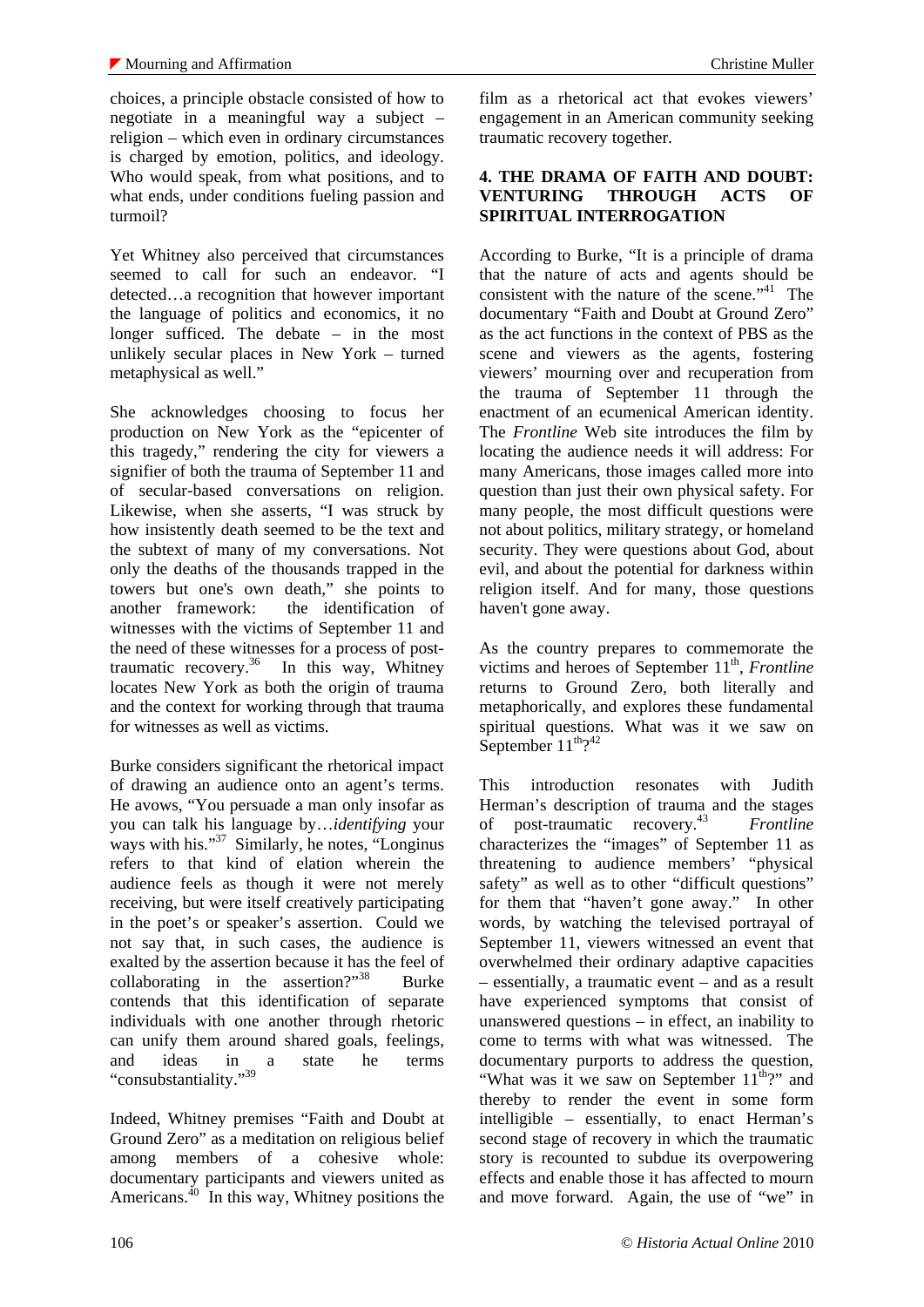choices, a principle obstacle consisted of how to negotiate in a meaningful way a subject – religion – which even in ordinary circumstances is charged by emotion, politics, and ideology. Who would speak, from what positions, and to what ends, under conditions fueling passion and turmoil?

Yet Whitney also perceived that circumstances seemed to call for such an endeavor. "I detected…a recognition that however important the language of politics and economics, it no longer sufficed. The debate – in the most unlikely secular places in New York – turned metaphysical as well."

She acknowledges choosing to focus her production on New York as the "epicenter of this tragedy," rendering the city for viewers a signifier of both the trauma of September 11 and of secular-based conversations on religion. Likewise, when she asserts, "I was struck by how insistently death seemed to be the text and the subtext of many of my conversations. Not only the deaths of the thousands trapped in the towers but one's own death," she points to another framework: the identification of witnesses with the victims of September 11 and the need of these witnesses for a process of posttraumatic recovery.<sup>36</sup> In this way, Whitney locates New York as both the origin of trauma and the context for working through that trauma for witnesses as well as victims.

Burke considers significant the rhetorical impact of drawing an audience onto an agent's terms. He avows, "You persuade a man only insofar as you can talk his language by…*identifying* your ways with his."<sup>37</sup> Similarly, he notes, "Longinus" refers to that kind of elation wherein the audience feels as though it were not merely receiving, but were itself creatively participating in the poet's or speaker's assertion. Could we not say that, in such cases, the audience is exalted by the assertion because it has the feel of collaborating in the assertion?" $38$  Burke contends that this identification of separate individuals with one another through rhetoric can unify them around shared goals, feelings, and ideas in a state he terms "consubstantiality."<sup>39</sup>

Indeed, Whitney premises "Faith and Doubt at Ground Zero" as a meditation on religious belief among members of a cohesive whole: documentary participants and viewers united as Americans. $^{40}$  In this way, Whitney positions the film as a rhetorical act that evokes viewers' engagement in an American community seeking traumatic recovery together.

#### **4. THE DRAMA OF FAITH AND DOUBT: VENTURING THROUGH ACTS OF SPIRITUAL INTERROGATION**

According to Burke, "It is a principle of drama that the nature of acts and agents should be consistent with the nature of the scene." $41$  The documentary "Faith and Doubt at Ground Zero" as the act functions in the context of PBS as the scene and viewers as the agents, fostering viewers' mourning over and recuperation from the trauma of September 11 through the enactment of an ecumenical American identity. The *Frontline* Web site introduces the film by locating the audience needs it will address: For many Americans, those images called more into question than just their own physical safety. For many people, the most difficult questions were not about politics, military strategy, or homeland security. They were questions about God, about evil, and about the potential for darkness within religion itself. And for many, those questions haven't gone away.

As the country prepares to commemorate the victims and heroes of September 11<sup>th</sup>, *Frontline* returns to Ground Zero, both literally and metaphorically, and explores these fundamental spiritual questions. What was it we saw on September  $11^{\text{th}}$ ?<sup>42</sup>

This introduction resonates with Judith Herman's description of trauma and the stages of post-traumatic recovery.43 *Frontline* characterizes the "images" of September 11 as threatening to audience members' "physical safety" as well as to other "difficult questions" for them that "haven't gone away." In other words, by watching the televised portrayal of September 11, viewers witnessed an event that overwhelmed their ordinary adaptive capacities – essentially, a traumatic event – and as a result have experienced symptoms that consist of unanswered questions – in effect, an inability to come to terms with what was witnessed. The documentary purports to address the question, "What was it we saw on September  $11^{\text{th}}$ ?" and thereby to render the event in some form intelligible – essentially, to enact Herman's second stage of recovery in which the traumatic story is recounted to subdue its overpowering effects and enable those it has affected to mourn and move forward. Again, the use of "we" in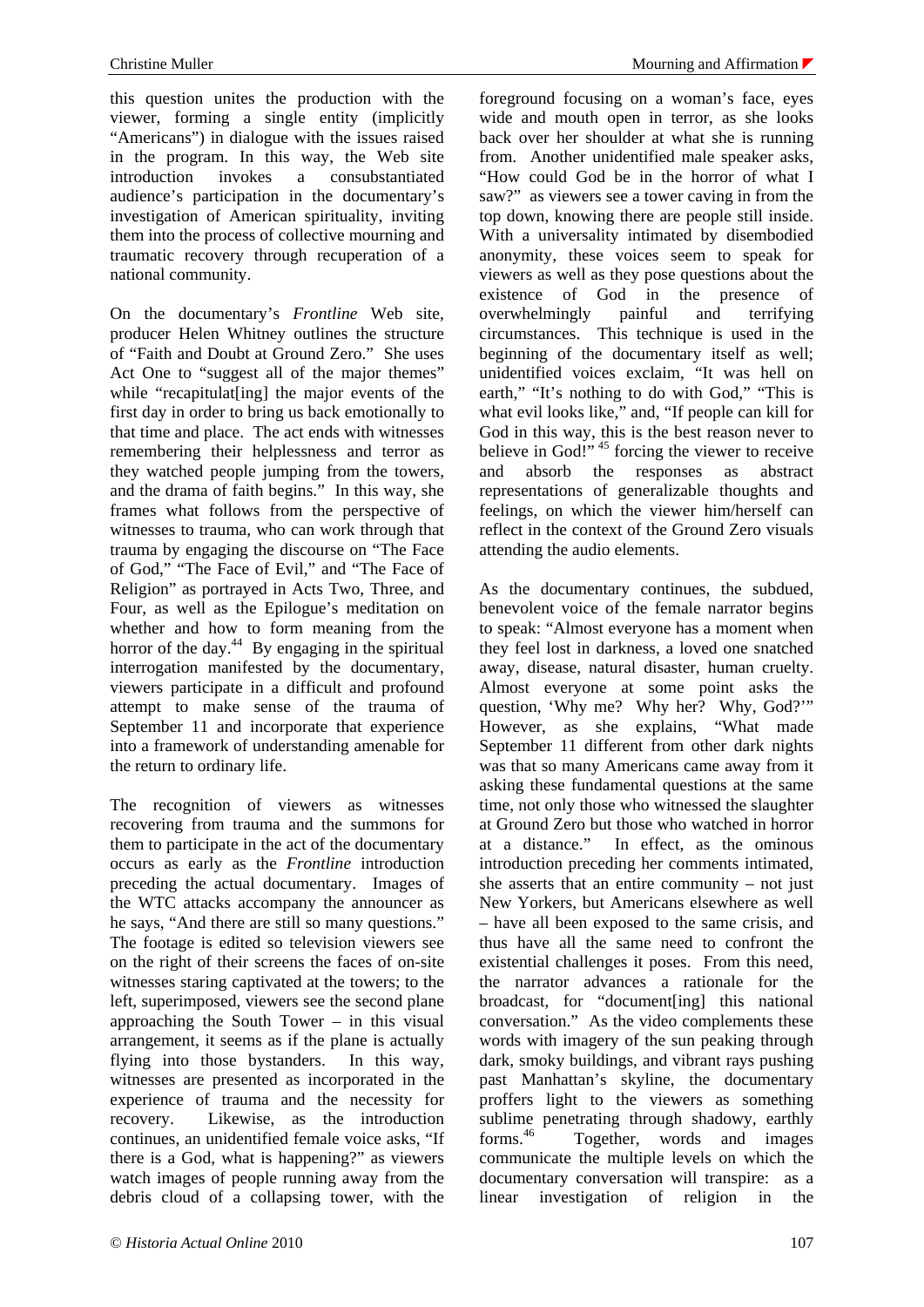this question unites the production with the viewer, forming a single entity (implicitly "Americans") in dialogue with the issues raised in the program. In this way, the Web site introduction invokes a consubstantiated audience's participation in the documentary's investigation of American spirituality, inviting them into the process of collective mourning and traumatic recovery through recuperation of a national community.

On the documentary's *Frontline* Web site, producer Helen Whitney outlines the structure of "Faith and Doubt at Ground Zero." She uses Act One to "suggest all of the major themes" while "recapitulat<sup>[ing]</sup> the major events of the first day in order to bring us back emotionally to that time and place. The act ends with witnesses remembering their helplessness and terror as they watched people jumping from the towers, and the drama of faith begins." In this way, she frames what follows from the perspective of witnesses to trauma, who can work through that trauma by engaging the discourse on "The Face of God," "The Face of Evil," and "The Face of Religion" as portrayed in Acts Two, Three, and Four, as well as the Epilogue's meditation on whether and how to form meaning from the horror of the day. $44$  By engaging in the spiritual interrogation manifested by the documentary, viewers participate in a difficult and profound attempt to make sense of the trauma of September 11 and incorporate that experience into a framework of understanding amenable for the return to ordinary life.

The recognition of viewers as witnesses recovering from trauma and the summons for them to participate in the act of the documentary occurs as early as the *Frontline* introduction preceding the actual documentary. Images of the WTC attacks accompany the announcer as he says, "And there are still so many questions." The footage is edited so television viewers see on the right of their screens the faces of on-site witnesses staring captivated at the towers; to the left, superimposed, viewers see the second plane approaching the South Tower – in this visual arrangement, it seems as if the plane is actually flying into those bystanders. In this way, witnesses are presented as incorporated in the experience of trauma and the necessity for recovery. Likewise, as the introduction continues, an unidentified female voice asks, "If there is a God, what is happening?" as viewers watch images of people running away from the debris cloud of a collapsing tower, with the

foreground focusing on a woman's face, eyes wide and mouth open in terror, as she looks back over her shoulder at what she is running from. Another unidentified male speaker asks, "How could God be in the horror of what I saw?" as viewers see a tower caving in from the top down, knowing there are people still inside. With a universality intimated by disembodied anonymity, these voices seem to speak for viewers as well as they pose questions about the existence of God in the presence of overwhelmingly painful and terrifying circumstances. This technique is used in the beginning of the documentary itself as well; unidentified voices exclaim, "It was hell on earth," "It's nothing to do with God," "This is what evil looks like," and, "If people can kill for God in this way, this is the best reason never to believe in God!"  $45$  forcing the viewer to receive and absorb the responses as abstract representations of generalizable thoughts and feelings, on which the viewer him/herself can reflect in the context of the Ground Zero visuals attending the audio elements.

As the documentary continues, the subdued, benevolent voice of the female narrator begins to speak: "Almost everyone has a moment when they feel lost in darkness, a loved one snatched away, disease, natural disaster, human cruelty. Almost everyone at some point asks the question, 'Why me? Why her? Why, God?'" However, as she explains, "What made September 11 different from other dark nights was that so many Americans came away from it asking these fundamental questions at the same time, not only those who witnessed the slaughter at Ground Zero but those who watched in horror at a distance." In effect, as the ominous introduction preceding her comments intimated, she asserts that an entire community – not just New Yorkers, but Americans elsewhere as well – have all been exposed to the same crisis, and thus have all the same need to confront the existential challenges it poses. From this need, the narrator advances a rationale for the broadcast, for "document[ing] this national conversation." As the video complements these words with imagery of the sun peaking through dark, smoky buildings, and vibrant rays pushing past Manhattan's skyline, the documentary proffers light to the viewers as something sublime penetrating through shadowy, earthly forms.46 Together, words and images communicate the multiple levels on which the documentary conversation will transpire: as a linear investigation of religion in the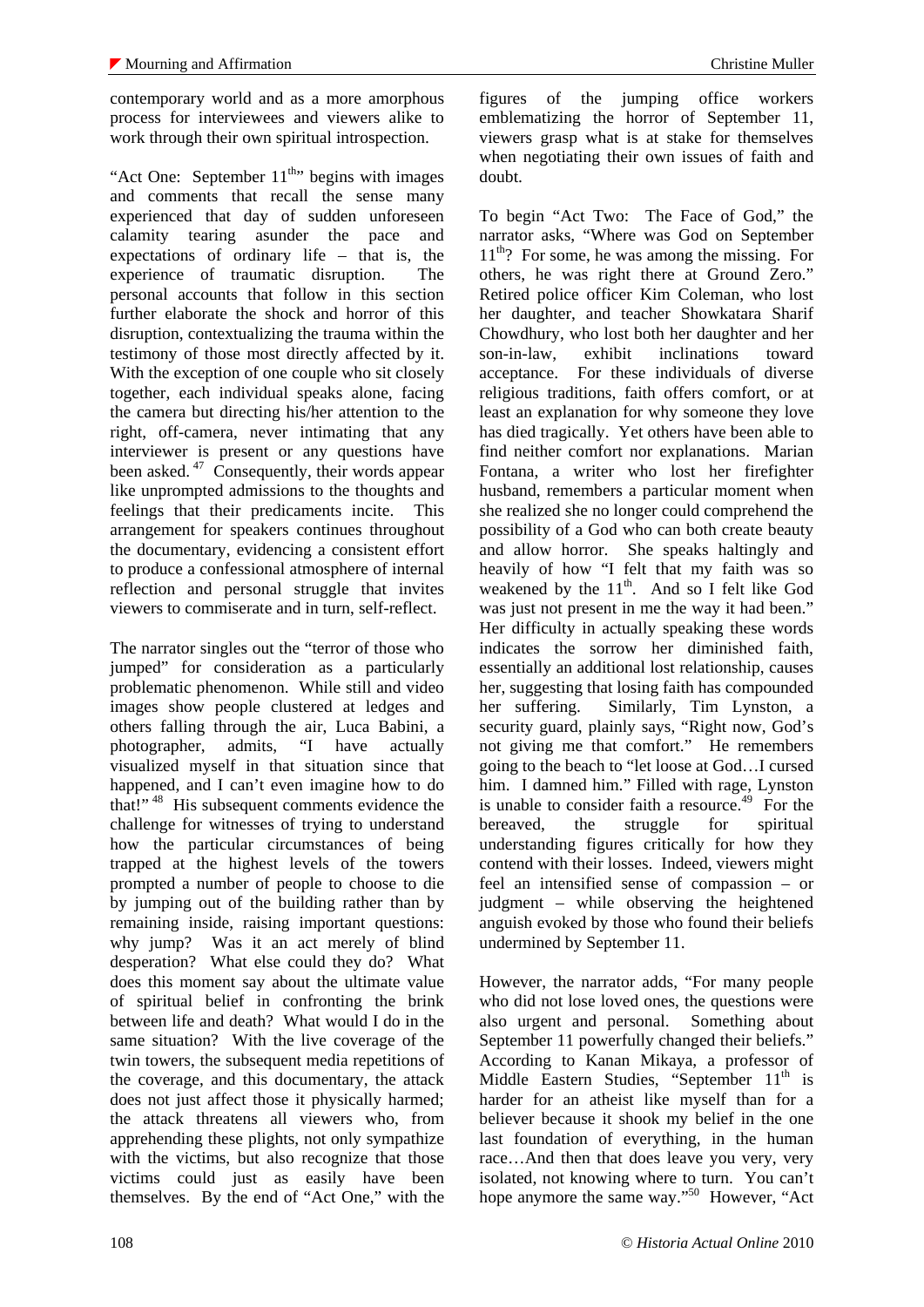contemporary world and as a more amorphous process for interviewees and viewers alike to work through their own spiritual introspection.

"Act One: September  $11^{th}$ " begins with images and comments that recall the sense many experienced that day of sudden unforeseen calamity tearing asunder the pace and expectations of ordinary life – that is, the experience of traumatic disruption. The personal accounts that follow in this section further elaborate the shock and horror of this disruption, contextualizing the trauma within the testimony of those most directly affected by it. With the exception of one couple who sit closely together, each individual speaks alone, facing the camera but directing his/her attention to the right, off-camera, never intimating that any interviewer is present or any questions have been asked.<sup>47</sup> Consequently, their words appear like unprompted admissions to the thoughts and feelings that their predicaments incite. This arrangement for speakers continues throughout the documentary, evidencing a consistent effort to produce a confessional atmosphere of internal reflection and personal struggle that invites viewers to commiserate and in turn, self-reflect.

The narrator singles out the "terror of those who jumped" for consideration as a particularly problematic phenomenon. While still and video images show people clustered at ledges and others falling through the air, Luca Babini, a photographer, admits, "I have actually visualized myself in that situation since that happened, and I can't even imagine how to do that!" 48 His subsequent comments evidence the challenge for witnesses of trying to understand how the particular circumstances of being trapped at the highest levels of the towers prompted a number of people to choose to die by jumping out of the building rather than by remaining inside, raising important questions: why jump? Was it an act merely of blind desperation? What else could they do? What does this moment say about the ultimate value of spiritual belief in confronting the brink between life and death? What would I do in the same situation? With the live coverage of the twin towers, the subsequent media repetitions of the coverage, and this documentary, the attack does not just affect those it physically harmed; the attack threatens all viewers who, from apprehending these plights, not only sympathize with the victims, but also recognize that those victims could just as easily have been themselves. By the end of "Act One," with the

figures of the jumping office workers emblematizing the horror of September 11, viewers grasp what is at stake for themselves when negotiating their own issues of faith and doubt.

To begin "Act Two: The Face of God," the narrator asks, "Where was God on September  $11<sup>th</sup>$ ? For some, he was among the missing. For others, he was right there at Ground Zero." Retired police officer Kim Coleman, who lost her daughter, and teacher Showkatara Sharif Chowdhury, who lost both her daughter and her son-in-law, exhibit inclinations toward acceptance. For these individuals of diverse religious traditions, faith offers comfort, or at least an explanation for why someone they love has died tragically. Yet others have been able to find neither comfort nor explanations. Marian Fontana, a writer who lost her firefighter husband, remembers a particular moment when she realized she no longer could comprehend the possibility of a God who can both create beauty and allow horror. She speaks haltingly and heavily of how "I felt that my faith was so weakened by the  $11<sup>th</sup>$ . And so I felt like God was just not present in me the way it had been." Her difficulty in actually speaking these words indicates the sorrow her diminished faith, essentially an additional lost relationship, causes her, suggesting that losing faith has compounded her suffering. Similarly, Tim Lynston, a security guard, plainly says, "Right now, God's not giving me that comfort." He remembers going to the beach to "let loose at God…I cursed him. I damned him." Filled with rage, Lynston is unable to consider faith a resource.<sup>49</sup> For the bereaved, the struggle for spiritual understanding figures critically for how they contend with their losses. Indeed, viewers might feel an intensified sense of compassion – or judgment – while observing the heightened anguish evoked by those who found their beliefs undermined by September 11.

However, the narrator adds, "For many people who did not lose loved ones, the questions were also urgent and personal. Something about September 11 powerfully changed their beliefs." According to Kanan Mikaya, a professor of Middle Eastern Studies, "September  $11<sup>th</sup>$  is harder for an atheist like myself than for a believer because it shook my belief in the one last foundation of everything, in the human race…And then that does leave you very, very isolated, not knowing where to turn. You can't hope anymore the same way."<sup>50</sup> However, "Act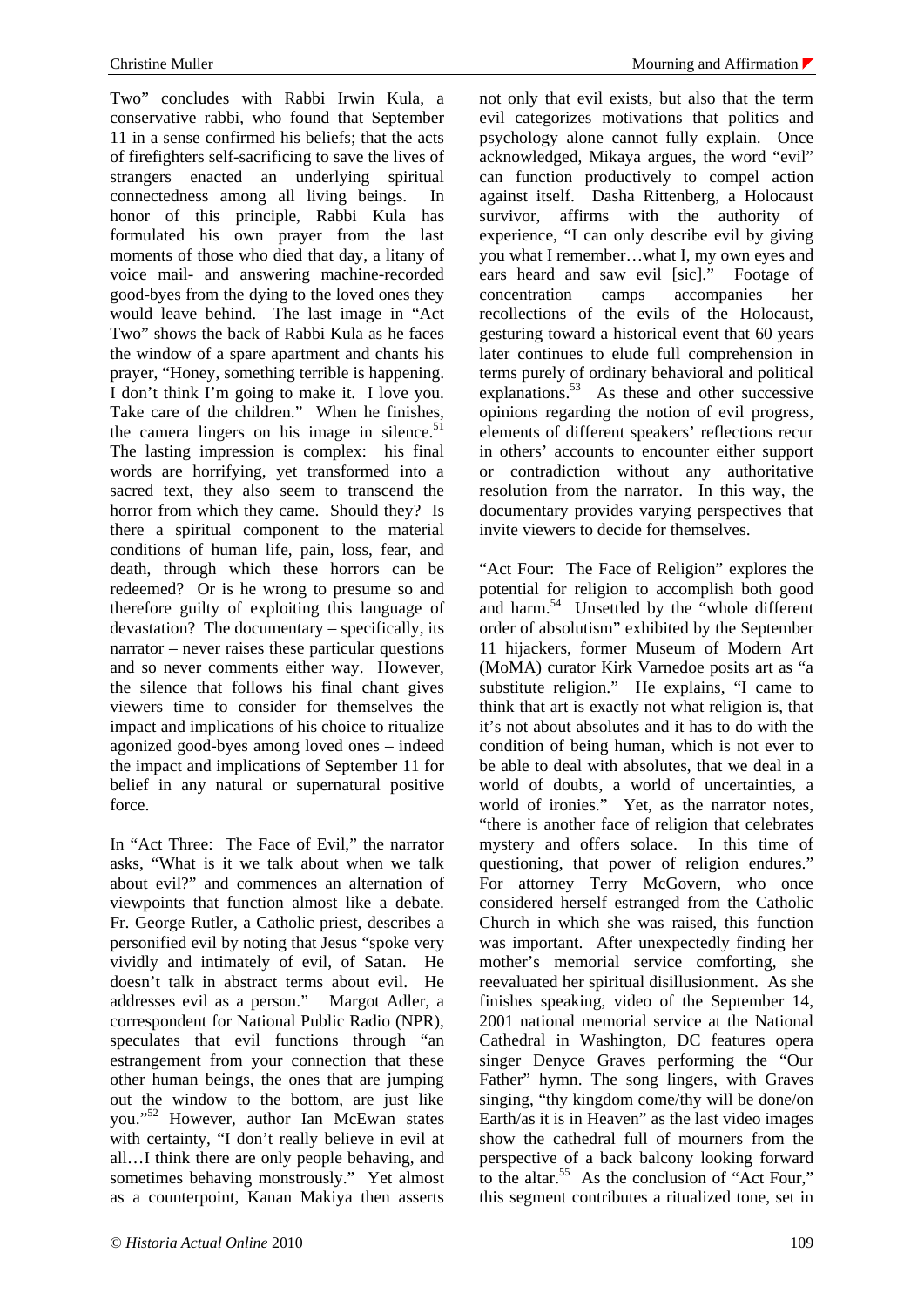Two" concludes with Rabbi Irwin Kula, a conservative rabbi, who found that September 11 in a sense confirmed his beliefs; that the acts of firefighters self-sacrificing to save the lives of strangers enacted an underlying spiritual connectedness among all living beings. In honor of this principle, Rabbi Kula has formulated his own prayer from the last moments of those who died that day, a litany of voice mail- and answering machine-recorded good-byes from the dying to the loved ones they would leave behind. The last image in "Act Two" shows the back of Rabbi Kula as he faces the window of a spare apartment and chants his prayer, "Honey, something terrible is happening. I don't think I'm going to make it. I love you. Take care of the children." When he finishes, the camera lingers on his image in silence. $51$ The lasting impression is complex: his final words are horrifying, yet transformed into a sacred text, they also seem to transcend the horror from which they came. Should they? Is there a spiritual component to the material conditions of human life, pain, loss, fear, and death, through which these horrors can be redeemed? Or is he wrong to presume so and therefore guilty of exploiting this language of devastation? The documentary – specifically, its narrator – never raises these particular questions and so never comments either way. However, the silence that follows his final chant gives viewers time to consider for themselves the impact and implications of his choice to ritualize agonized good-byes among loved ones – indeed the impact and implications of September 11 for belief in any natural or supernatural positive force.

In "Act Three: The Face of Evil," the narrator asks, "What is it we talk about when we talk about evil?" and commences an alternation of viewpoints that function almost like a debate. Fr. George Rutler, a Catholic priest, describes a personified evil by noting that Jesus "spoke very vividly and intimately of evil, of Satan. He doesn't talk in abstract terms about evil. He addresses evil as a person." Margot Adler, a correspondent for National Public Radio (NPR), speculates that evil functions through "an estrangement from your connection that these other human beings, the ones that are jumping out the window to the bottom, are just like you."52 However, author Ian McEwan states with certainty, "I don't really believe in evil at all…I think there are only people behaving, and sometimes behaving monstrously." Yet almost as a counterpoint, Kanan Makiya then asserts

not only that evil exists, but also that the term evil categorizes motivations that politics and psychology alone cannot fully explain. Once acknowledged, Mikaya argues, the word "evil" can function productively to compel action against itself. Dasha Rittenberg, a Holocaust survivor, affirms with the authority of experience, "I can only describe evil by giving you what I remember…what I, my own eyes and ears heard and saw evil [sic]." Footage of concentration camps accompanies her recollections of the evils of the Holocaust, gesturing toward a historical event that 60 years later continues to elude full comprehension in terms purely of ordinary behavioral and political explanations.<sup>53</sup> As these and other successive opinions regarding the notion of evil progress, elements of different speakers' reflections recur in others' accounts to encounter either support or contradiction without any authoritative resolution from the narrator. In this way, the documentary provides varying perspectives that invite viewers to decide for themselves.

"Act Four: The Face of Religion" explores the potential for religion to accomplish both good and harm.<sup>54</sup> Unsettled by the "whole different" order of absolutism" exhibited by the September 11 hijackers, former Museum of Modern Art (MoMA) curator Kirk Varnedoe posits art as "a substitute religion." He explains, "I came to think that art is exactly not what religion is, that it's not about absolutes and it has to do with the condition of being human, which is not ever to be able to deal with absolutes, that we deal in a world of doubts, a world of uncertainties, a world of ironies." Yet, as the narrator notes, "there is another face of religion that celebrates mystery and offers solace. In this time of questioning, that power of religion endures." For attorney Terry McGovern, who once considered herself estranged from the Catholic Church in which she was raised, this function was important. After unexpectedly finding her mother's memorial service comforting, she reevaluated her spiritual disillusionment. As she finishes speaking, video of the September 14, 2001 national memorial service at the National Cathedral in Washington, DC features opera singer Denyce Graves performing the "Our Father" hymn. The song lingers, with Graves singing, "thy kingdom come/thy will be done/on Earth/as it is in Heaven" as the last video images show the cathedral full of mourners from the perspective of a back balcony looking forward to the altar.<sup>55</sup> As the conclusion of "Act Four," this segment contributes a ritualized tone, set in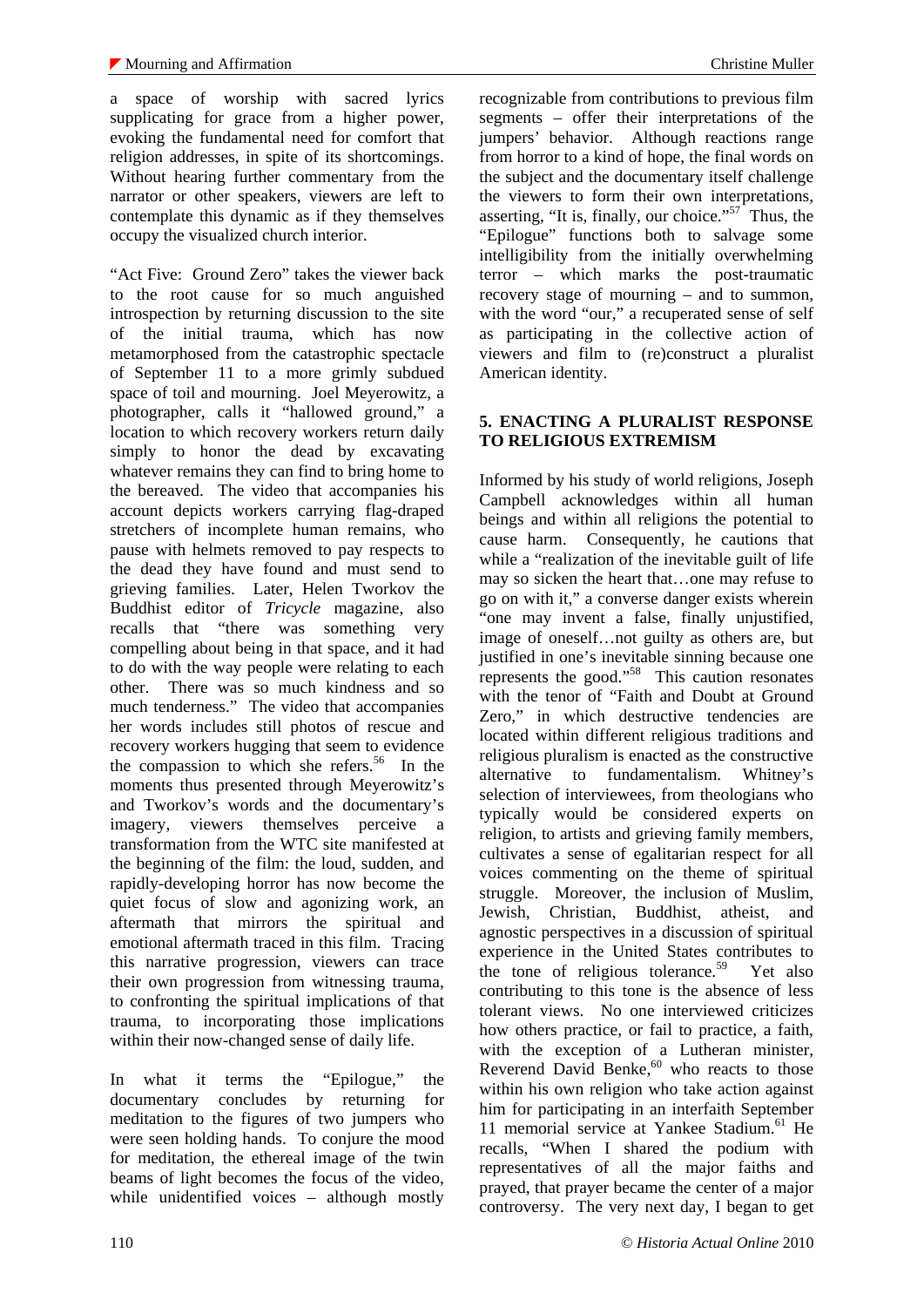a space of worship with sacred lyrics supplicating for grace from a higher power, evoking the fundamental need for comfort that religion addresses, in spite of its shortcomings. Without hearing further commentary from the narrator or other speakers, viewers are left to contemplate this dynamic as if they themselves occupy the visualized church interior.

"Act Five: Ground Zero" takes the viewer back to the root cause for so much anguished introspection by returning discussion to the site of the initial trauma, which has now metamorphosed from the catastrophic spectacle of September 11 to a more grimly subdued space of toil and mourning. Joel Meyerowitz, a photographer, calls it "hallowed ground," a location to which recovery workers return daily simply to honor the dead by excavating whatever remains they can find to bring home to the bereaved. The video that accompanies his account depicts workers carrying flag-draped stretchers of incomplete human remains, who pause with helmets removed to pay respects to the dead they have found and must send to grieving families. Later, Helen Tworkov the Buddhist editor of *Tricycle* magazine, also recalls that "there was something very compelling about being in that space, and it had to do with the way people were relating to each other. There was so much kindness and so much tenderness." The video that accompanies her words includes still photos of rescue and recovery workers hugging that seem to evidence the compassion to which she refers.<sup>56</sup> In the moments thus presented through Meyerowitz's and Tworkov's words and the documentary's imagery, viewers themselves perceive a transformation from the WTC site manifested at the beginning of the film: the loud, sudden, and rapidly-developing horror has now become the quiet focus of slow and agonizing work, an aftermath that mirrors the spiritual and emotional aftermath traced in this film. Tracing this narrative progression, viewers can trace their own progression from witnessing trauma, to confronting the spiritual implications of that trauma, to incorporating those implications within their now-changed sense of daily life.

In what it terms the "Epilogue," the documentary concludes by returning for meditation to the figures of two jumpers who were seen holding hands. To conjure the mood for meditation, the ethereal image of the twin beams of light becomes the focus of the video, while unidentified voices – although mostly

recognizable from contributions to previous film segments – offer their interpretations of the jumpers' behavior. Although reactions range from horror to a kind of hope, the final words on the subject and the documentary itself challenge the viewers to form their own interpretations, asserting, "It is, finally, our choice."<sup> $57^{\degree}$ </sup> Thus, the "Epilogue" functions both to salvage some intelligibility from the initially overwhelming terror – which marks the post-traumatic recovery stage of mourning – and to summon, with the word "our," a recuperated sense of self as participating in the collective action of viewers and film to (re)construct a pluralist American identity.

## **5. ENACTING A PLURALIST RESPONSE TO RELIGIOUS EXTREMISM**

Informed by his study of world religions, Joseph Campbell acknowledges within all human beings and within all religions the potential to cause harm. Consequently, he cautions that while a "realization of the inevitable guilt of life may so sicken the heart that…one may refuse to go on with it," a converse danger exists wherein "one may invent a false, finally unjustified, image of oneself…not guilty as others are, but justified in one's inevitable sinning because one represents the good."58 This caution resonates with the tenor of "Faith and Doubt at Ground Zero," in which destructive tendencies are located within different religious traditions and religious pluralism is enacted as the constructive alternative to fundamentalism. Whitney's selection of interviewees, from theologians who typically would be considered experts on religion, to artists and grieving family members, cultivates a sense of egalitarian respect for all voices commenting on the theme of spiritual struggle. Moreover, the inclusion of Muslim, Jewish, Christian, Buddhist, atheist, and agnostic perspectives in a discussion of spiritual experience in the United States contributes to the tone of religious tolerance.<sup>59</sup> Yet also contributing to this tone is the absence of less tolerant views. No one interviewed criticizes how others practice, or fail to practice, a faith, with the exception of a Lutheran minister. Reverend David Benke, $60$  who reacts to those within his own religion who take action against him for participating in an interfaith September 11 memorial service at Yankee Stadium.<sup>61</sup> He recalls, "When I shared the podium with representatives of all the major faiths and prayed, that prayer became the center of a major controversy. The very next day, I began to get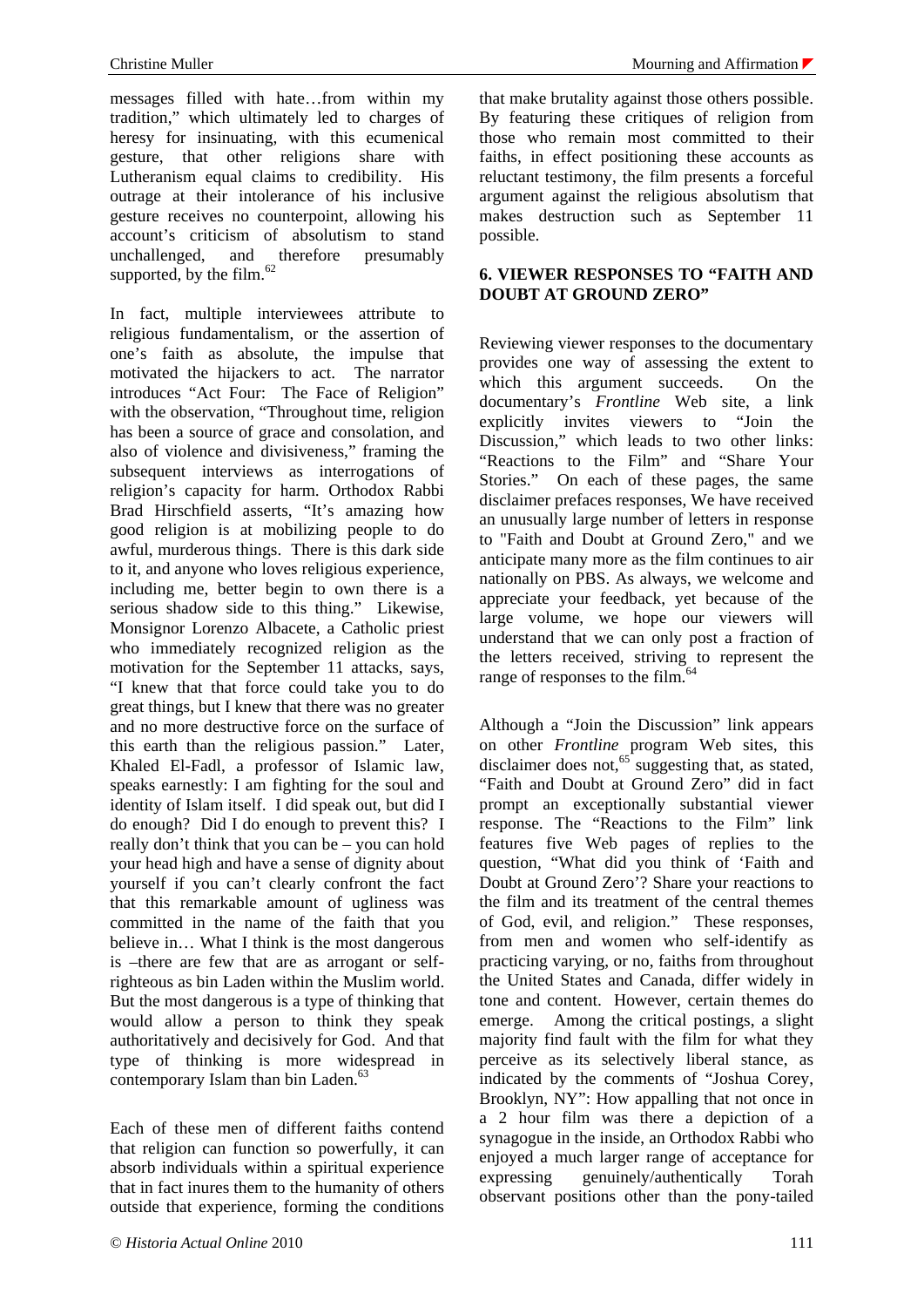messages filled with hate…from within my tradition," which ultimately led to charges of heresy for insinuating, with this ecumenical gesture, that other religions share with Lutheranism equal claims to credibility. His outrage at their intolerance of his inclusive gesture receives no counterpoint, allowing his account's criticism of absolutism to stand unchallenged, and therefore presumably supported, by the film.<sup>62</sup>

In fact, multiple interviewees attribute to religious fundamentalism, or the assertion of one's faith as absolute, the impulse that motivated the hijackers to act. The narrator introduces "Act Four: The Face of Religion" with the observation, "Throughout time, religion has been a source of grace and consolation, and also of violence and divisiveness," framing the subsequent interviews as interrogations of religion's capacity for harm. Orthodox Rabbi Brad Hirschfield asserts, "It's amazing how good religion is at mobilizing people to do awful, murderous things. There is this dark side to it, and anyone who loves religious experience, including me, better begin to own there is a serious shadow side to this thing." Likewise, Monsignor Lorenzo Albacete, a Catholic priest who immediately recognized religion as the motivation for the September 11 attacks, says, "I knew that that force could take you to do great things, but I knew that there was no greater and no more destructive force on the surface of this earth than the religious passion." Later, Khaled El-Fadl, a professor of Islamic law, speaks earnestly: I am fighting for the soul and identity of Islam itself. I did speak out, but did I do enough? Did I do enough to prevent this? I really don't think that you can be – you can hold your head high and have a sense of dignity about yourself if you can't clearly confront the fact that this remarkable amount of ugliness was committed in the name of the faith that you believe in… What I think is the most dangerous is –there are few that are as arrogant or selfrighteous as bin Laden within the Muslim world. But the most dangerous is a type of thinking that would allow a person to think they speak authoritatively and decisively for God. And that type of thinking is more widespread in contemporary Islam than bin Laden. $63$ 

Each of these men of different faiths contend that religion can function so powerfully, it can absorb individuals within a spiritual experience that in fact inures them to the humanity of others outside that experience, forming the conditions

that make brutality against those others possible. By featuring these critiques of religion from those who remain most committed to their faiths, in effect positioning these accounts as reluctant testimony, the film presents a forceful argument against the religious absolutism that makes destruction such as September 11 possible.

## **6. VIEWER RESPONSES TO "FAITH AND DOUBT AT GROUND ZERO"**

Reviewing viewer responses to the documentary provides one way of assessing the extent to which this argument succeeds. On the documentary's *Frontline* Web site, a link explicitly invites viewers to "Join the Discussion," which leads to two other links: "Reactions to the Film" and "Share Your Stories." On each of these pages, the same disclaimer prefaces responses, We have received an unusually large number of letters in response to "Faith and Doubt at Ground Zero," and we anticipate many more as the film continues to air nationally on PBS. As always, we welcome and appreciate your feedback, yet because of the large volume, we hope our viewers will understand that we can only post a fraction of the letters received, striving to represent the range of responses to the film.<sup>64</sup>

Although a "Join the Discussion" link appears on other *Frontline* program Web sites, this disclaimer does not, $65^{\circ}$  suggesting that, as stated, "Faith and Doubt at Ground Zero" did in fact prompt an exceptionally substantial viewer response. The "Reactions to the Film" link features five Web pages of replies to the question, "What did you think of 'Faith and Doubt at Ground Zero'? Share your reactions to the film and its treatment of the central themes of God, evil, and religion." These responses, from men and women who self-identify as practicing varying, or no, faiths from throughout the United States and Canada, differ widely in tone and content. However, certain themes do emerge. Among the critical postings, a slight majority find fault with the film for what they perceive as its selectively liberal stance, as indicated by the comments of "Joshua Corey, Brooklyn, NY": How appalling that not once in a 2 hour film was there a depiction of a synagogue in the inside, an Orthodox Rabbi who enjoyed a much larger range of acceptance for expressing genuinely/authentically Torah observant positions other than the pony-tailed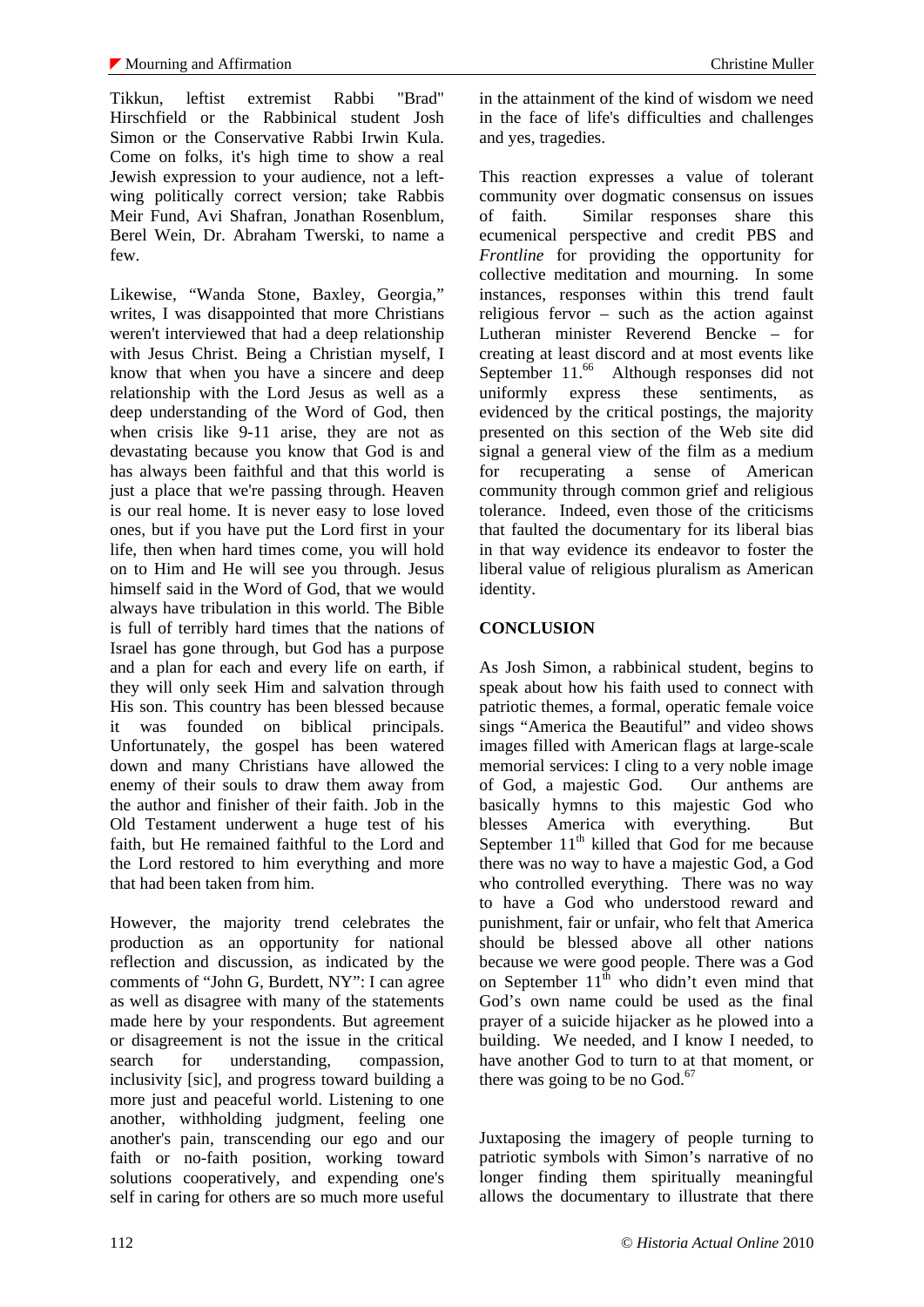Tikkun, leftist extremist Rabbi "Brad" Hirschfield or the Rabbinical student Josh Simon or the Conservative Rabbi Irwin Kula. Come on folks, it's high time to show a real Jewish expression to your audience, not a leftwing politically correct version; take Rabbis Meir Fund, Avi Shafran, Jonathan Rosenblum, Berel Wein, Dr. Abraham Twerski, to name a few.

Likewise, "Wanda Stone, Baxley, Georgia," writes, I was disappointed that more Christians weren't interviewed that had a deep relationship with Jesus Christ. Being a Christian myself, I know that when you have a sincere and deep relationship with the Lord Jesus as well as a deep understanding of the Word of God, then when crisis like 9-11 arise, they are not as devastating because you know that God is and has always been faithful and that this world is just a place that we're passing through. Heaven is our real home. It is never easy to lose loved ones, but if you have put the Lord first in your life, then when hard times come, you will hold on to Him and He will see you through. Jesus himself said in the Word of God, that we would always have tribulation in this world. The Bible is full of terribly hard times that the nations of Israel has gone through, but God has a purpose and a plan for each and every life on earth, if they will only seek Him and salvation through His son. This country has been blessed because it was founded on biblical principals. Unfortunately, the gospel has been watered down and many Christians have allowed the enemy of their souls to draw them away from the author and finisher of their faith. Job in the Old Testament underwent a huge test of his faith, but He remained faithful to the Lord and the Lord restored to him everything and more that had been taken from him.

However, the majority trend celebrates the production as an opportunity for national reflection and discussion, as indicated by the comments of "John G, Burdett, NY": I can agree as well as disagree with many of the statements made here by your respondents. But agreement or disagreement is not the issue in the critical search for understanding, compassion, inclusivity [sic], and progress toward building a more just and peaceful world. Listening to one another, withholding judgment, feeling one another's pain, transcending our ego and our faith or no-faith position, working toward solutions cooperatively, and expending one's self in caring for others are so much more useful in the attainment of the kind of wisdom we need in the face of life's difficulties and challenges and yes, tragedies.

This reaction expresses a value of tolerant community over dogmatic consensus on issues of faith. Similar responses share this ecumenical perspective and credit PBS and *Frontline* for providing the opportunity for collective meditation and mourning. In some instances, responses within this trend fault religious fervor – such as the action against Lutheran minister Reverend Bencke – for creating at least discord and at most events like September 11.<sup>66</sup> Although responses did not uniformly express these sentiments, as evidenced by the critical postings, the majority presented on this section of the Web site did signal a general view of the film as a medium for recuperating a sense of American community through common grief and religious tolerance. Indeed, even those of the criticisms that faulted the documentary for its liberal bias in that way evidence its endeavor to foster the liberal value of religious pluralism as American identity.

## **CONCLUSION**

As Josh Simon, a rabbinical student, begins to speak about how his faith used to connect with patriotic themes, a formal, operatic female voice sings "America the Beautiful" and video shows images filled with American flags at large-scale memorial services: I cling to a very noble image of God, a majestic God. Our anthems are basically hymns to this majestic God who blesses America with everything. But September  $11<sup>th</sup>$  killed that God for me because there was no way to have a majestic God, a God who controlled everything. There was no way to have a God who understood reward and punishment, fair or unfair, who felt that America should be blessed above all other nations because we were good people. There was a God on September  $11<sup>th</sup>$  who didn't even mind that God's own name could be used as the final prayer of a suicide hijacker as he plowed into a building. We needed, and I know I needed, to have another God to turn to at that moment, or there was going to be no  $God.<sup>67</sup>$ 

Juxtaposing the imagery of people turning to patriotic symbols with Simon's narrative of no longer finding them spiritually meaningful allows the documentary to illustrate that there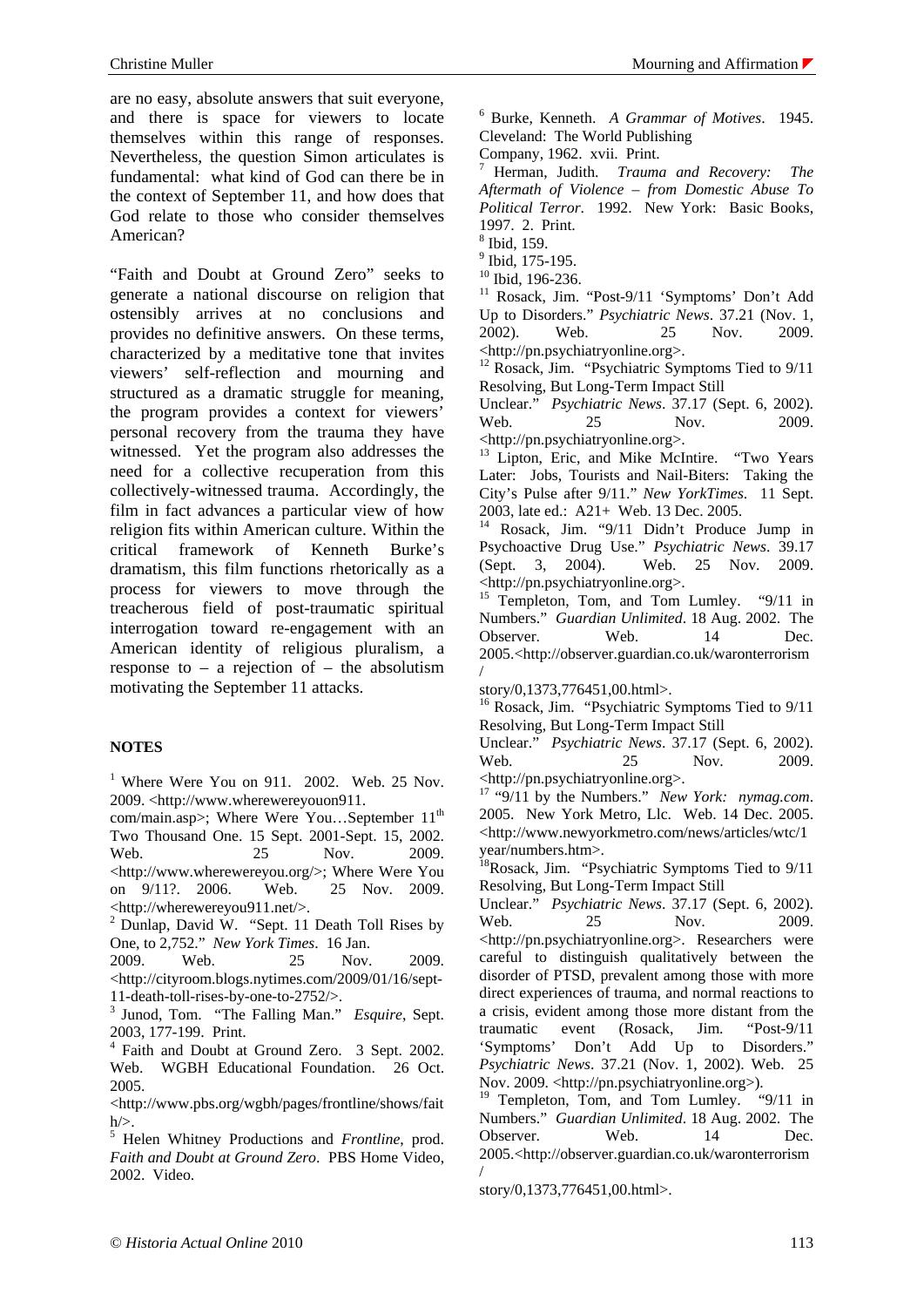are no easy, absolute answers that suit everyone, and there is space for viewers to locate themselves within this range of responses. Nevertheless, the question Simon articulates is fundamental: what kind of God can there be in the context of September 11, and how does that God relate to those who consider themselves American?

"Faith and Doubt at Ground Zero" seeks to generate a national discourse on religion that ostensibly arrives at no conclusions and provides no definitive answers. On these terms, characterized by a meditative tone that invites viewers' self-reflection and mourning and structured as a dramatic struggle for meaning, the program provides a context for viewers' personal recovery from the trauma they have witnessed. Yet the program also addresses the need for a collective recuperation from this collectively-witnessed trauma. Accordingly, the film in fact advances a particular view of how religion fits within American culture. Within the critical framework of Kenneth Burke's dramatism, this film functions rhetorically as a process for viewers to move through the treacherous field of post-traumatic spiritual interrogation toward re-engagement with an American identity of religious pluralism, a response to  $-$  a rejection of  $-$  the absolutism motivating the September 11 attacks.

#### **NOTES**

<sup>1</sup> Where Were You on 911. 2002. Web. 25 Nov. 2009. <http://www.wherewereyouon911.

com/main.asp>; Where Were You...September 11<sup>th</sup> Two Thousand One. 15 Sept. 2001-Sept. 15, 2002. Web. 25 Nov. 2009. <http://www.wherewereyou.org/>; Where Were You on 9/11?. 2006. Web. 25 Nov. 2009. <http://wherewereyou911.net/>.

 $2$  Dunlap, David W. "Sept. 11 Death Toll Rises by One, to 2,752." *New York Times*. 16 Jan.

2009. Web. 25 Nov. 2009. <http://cityroom.blogs.nytimes.com/2009/01/16/sept-11-death-toll-rises-by-one-to-2752/>.

3 Junod, Tom. "The Falling Man." *Esquire*, Sept. 2003, 177-199. Print.

4 Faith and Doubt at Ground Zero. 3 Sept. 2002. Web. WGBH Educational Foundation. 26 Oct. 2005.

<http://www.pbs.org/wgbh/pages/frontline/shows/fait  $h$ 

5 Helen Whitney Productions and *Frontline*, prod. *Faith and Doubt at Ground Zero*. PBS Home Video, 2002. Video.

6 Burke, Kenneth. *A Grammar of Motives*. 1945. Cleveland: The World Publishing

Company, 1962. xvii. Print.

7 Herman, Judith. *Trauma and Recovery: The Aftermath of Violence – from Domestic Abuse To Political Terror*. 1992. New York: Basic Books, 1997. 2. Print.

8 Ibid, 159.

<sup>9</sup> Ibid, 175-195.

<sup>10</sup> Ibid, 196-236.

11 Rosack, Jim. "Post-9/11 'Symptoms' Don't Add Up to Disorders." *Psychiatric News*. 37.21 (Nov. 1, 2002). Web. 25 Nov. 2009. <http://pn.psychiatryonline.org>.

<sup>12</sup> Rosack, Jim. "Psychiatric Symptoms Tied to 9/11 Resolving, But Long-Term Impact Still

Unclear." *Psychiatric News*. 37.17 (Sept. 6, 2002). Web. 25 Nov. 2009. <http://pn.psychiatryonline.org>.

<sup>13</sup> Lipton, Eric, and Mike McIntire. "Two Years Later: Jobs, Tourists and Nail-Biters: Taking the City's Pulse after 9/11." *New YorkTimes*. 11 Sept. 2003, late ed.: A21+ Web. 13 Dec. 2005.

14 Rosack, Jim. "9/11 Didn't Produce Jump in Psychoactive Drug Use." *Psychiatric News*. 39.17 (Sept. 3, 2004). Web. 25 Nov. 2009. <http://pn.psychiatryonline.org>.

<sup>15</sup> Templeton, Tom, and Tom Lumley. "9/11 in Numbers." *Guardian Unlimited*. 18 Aug. 2002. The Observer. Web. 14 Dec. 2005.<http://observer.guardian.co.uk/waronterrorism /

story/0,1373,776451,00.html>.

<sup>16</sup> Rosack, Jim. "Psychiatric Symptoms Tied to 9/11 Resolving, But Long-Term Impact Still

Unclear." *Psychiatric News*. 37.17 (Sept. 6, 2002). Web. 25 Nov. 2009. <http://pn.psychiatryonline.org>.

17 "9/11 by the Numbers." *New York: nymag.com*. 2005. New York Metro, Llc. Web. 14 Dec. 2005. <http://www.newyorkmetro.com/news/articles/wtc/1 year/numbers.htm>.

<sup>18</sup>Rosack, Jim. "Psychiatric Symptoms Tied to 9/11 Resolving, But Long-Term Impact Still

Unclear." *Psychiatric News*. 37.17 (Sept. 6, 2002). Web. 25 Nov. 2009. <http://pn.psychiatryonline.org>. Researchers were careful to distinguish qualitatively between the disorder of PTSD, prevalent among those with more direct experiences of trauma, and normal reactions to a crisis, evident among those more distant from the traumatic event (Rosack, Jim. "Post-9/11 'Symptoms' Don't Add Up to Disorders." *Psychiatric News*. 37.21 (Nov. 1, 2002). Web. 25 Nov. 2009. <http://pn.psychiatryonline.org>).

<sup>19</sup> Templeton, Tom, and Tom Lumley. "9/11 in Numbers." *Guardian Unlimited*. 18 Aug. 2002. The Observer. Web. 14 Dec. 2005.<http://observer.guardian.co.uk/waronterrorism /

story/0,1373,776451,00.html>.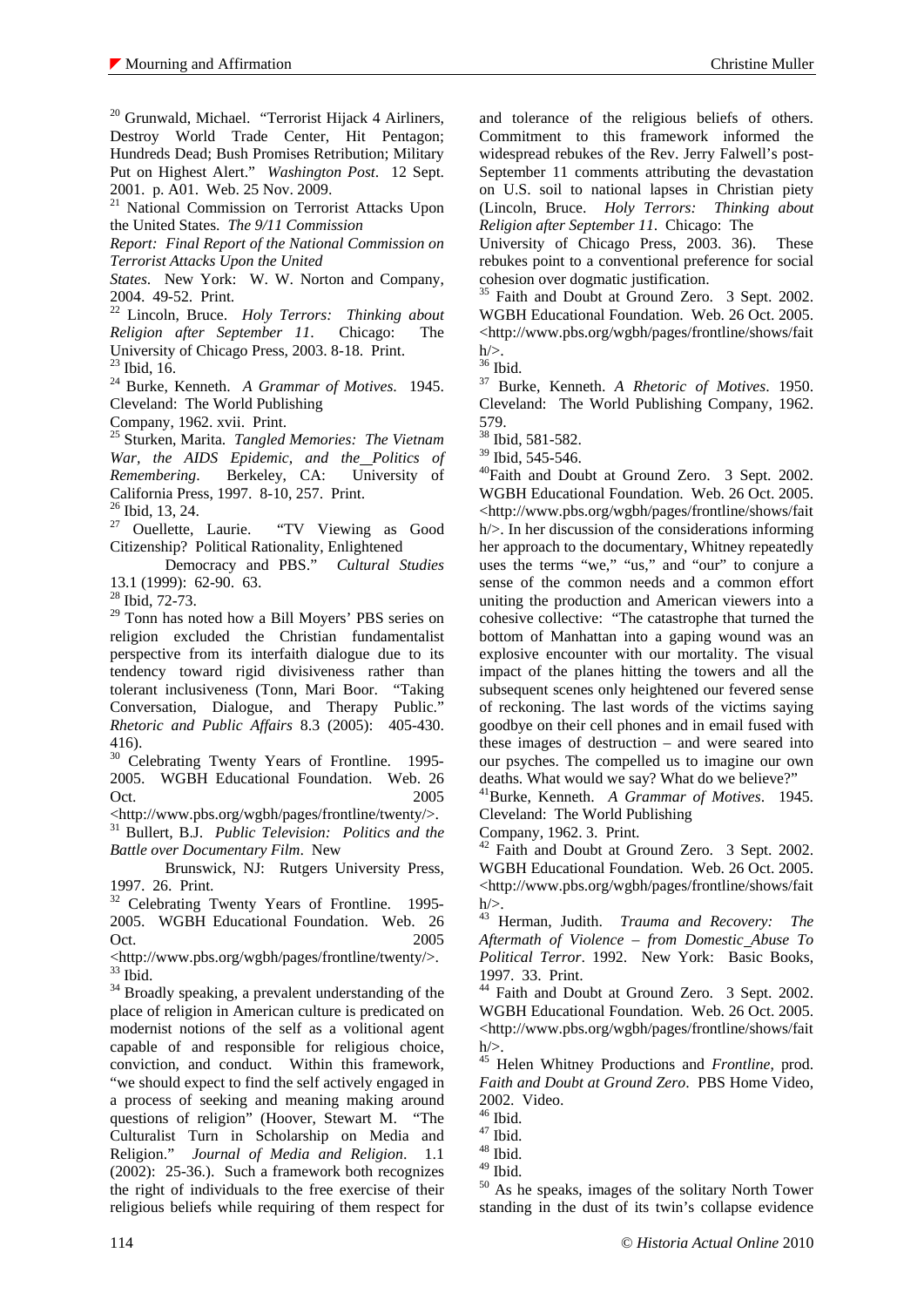<sup>20</sup> Grunwald, Michael. "Terrorist Hijack 4 Airliners, Destroy World Trade Center, Hit Pentagon; Hundreds Dead; Bush Promises Retribution; Military Put on Highest Alert." *Washington Post*. 12 Sept. 2001. p. A01. Web. 25 Nov. 2009.

21 National Commission on Terrorist Attacks Upon the United States. *The 9/11 Commission*

*Report: Final Report of the National Commission on Terrorist Attacks Upon the United* 

*States*. New York: W. W. Norton and Company, 2004. 49-52. Print.

22 Lincoln, Bruce. *Holy Terrors: Thinking about Religion after September 11*. Chicago: The University of Chicago Press, 2003. 8-18. Print. 23 Ibid, 16.

24 Burke, Kenneth. *A Grammar of Motives*. 1945. Cleveland: The World Publishing

Company, 1962. xvii. Print.

25 Sturken, Marita. *Tangled Memories: The Vietnam War, the AIDS Epidemic, and the Politics of Remembering*. Berkeley, CA: University of California Press, 1997. 8-10, 257. Print.

 $^{26}$  Ibid, 13, 24.

Ouellette, Laurie. "TV Viewing as Good Citizenship? Political Rationality, Enlightened

 Democracy and PBS." *Cultural Studies* 13.1 (1999): 62-90. 63.

28 Ibid, 72-73.

<sup>29</sup> Tonn has noted how a Bill Moyers' PBS series on religion excluded the Christian fundamentalist perspective from its interfaith dialogue due to its tendency toward rigid divisiveness rather than tolerant inclusiveness (Tonn, Mari Boor. "Taking Conversation, Dialogue, and Therapy Public." *Rhetoric and Public Affairs* 8.3 (2005): 405-430. 416).

<sup>30</sup> Celebrating Twenty Years of Frontline. 1995-2005. WGBH Educational Foundation. Web. 26 Oct. 2005

<http://www.pbs.org/wgbh/pages/frontline/twenty/>. 31 Bullert, B.J. *Public Television: Politics and the Battle over Documentary Film*. New

 Brunswick, NJ: Rutgers University Press, 1997. 26. Print.

<sup>32</sup> Celebrating Twenty Years of Frontline. 1995-2005. WGBH Educational Foundation. Web. 26 Oct. 2005

 $<$ http://www.pbs.org/wgbh/pages/frontline/twenty/ $>$ . $^{33}$ Ibid.

<sup>34</sup> Broadly speaking, a prevalent understanding of the place of religion in American culture is predicated on modernist notions of the self as a volitional agent capable of and responsible for religious choice, conviction, and conduct. Within this framework, "we should expect to find the self actively engaged in a process of seeking and meaning making around questions of religion" (Hoover, Stewart M. "The Culturalist Turn in Scholarship on Media and Religion." *Journal of Media and Religion*. 1.1 (2002): 25-36.). Such a framework both recognizes the right of individuals to the free exercise of their religious beliefs while requiring of them respect for

and tolerance of the religious beliefs of others. Commitment to this framework informed the widespread rebukes of the Rev. Jerry Falwell's post-September 11 comments attributing the devastation on U.S. soil to national lapses in Christian piety (Lincoln, Bruce. *Holy Terrors: Thinking about Religion after September 11*. Chicago: The

University of Chicago Press, 2003. 36). These rebukes point to a conventional preference for social cohesion over dogmatic justification.

<sup>35</sup> Faith and Doubt at Ground Zero. 3 Sept. 2002. WGBH Educational Foundation. Web. 26 Oct. 2005. <http://www.pbs.org/wgbh/pages/frontline/shows/fait  $h\llap{/}$ 

36 Ibid.

37 Burke, Kenneth. *A Rhetoric of Motives*. 1950. Cleveland: The World Publishing Company, 1962. 579.

38 Ibid, 581-582.

39 Ibid, 545-546.

40Faith and Doubt at Ground Zero. 3 Sept. 2002. WGBH Educational Foundation. Web. 26 Oct. 2005. <http://www.pbs.org/wgbh/pages/frontline/shows/fait h/>. In her discussion of the considerations informing her approach to the documentary, Whitney repeatedly uses the terms "we," "us," and "our" to conjure a sense of the common needs and a common effort uniting the production and American viewers into a cohesive collective: "The catastrophe that turned the bottom of Manhattan into a gaping wound was an explosive encounter with our mortality. The visual impact of the planes hitting the towers and all the subsequent scenes only heightened our fevered sense of reckoning. The last words of the victims saying goodbye on their cell phones and in email fused with these images of destruction – and were seared into our psyches. The compelled us to imagine our own deaths. What would we say? What do we believe?"

41Burke, Kenneth. *A Grammar of Motives*. 1945. Cleveland: The World Publishing

Company, 1962. 3. Print.

<sup>42</sup> Faith and Doubt at Ground Zero. 3 Sept. 2002. WGBH Educational Foundation. Web. 26 Oct. 2005. <http://www.pbs.org/wgbh/pages/frontline/shows/fait  $h$ 

43 Herman, Judith. *Trauma and Recovery: The Aftermath of Violence – from Domestic Abuse To Political Terror*. 1992. New York: Basic Books, 1997. 33. Print.

44 Faith and Doubt at Ground Zero. 3 Sept. 2002. WGBH Educational Foundation. Web. 26 Oct. 2005. <http://www.pbs.org/wgbh/pages/frontline/shows/fait  $h\llap{/}$ 

45 Helen Whitney Productions and *Frontline*, prod. *Faith and Doubt at Ground Zero*. PBS Home Video, 2002. Video.

- 47 Ibid.
- 48 Ibid.
- $^{49}$  Ibid.

50 As he speaks, images of the solitary North Tower standing in the dust of its twin's collapse evidence

 $46$  Ibid.